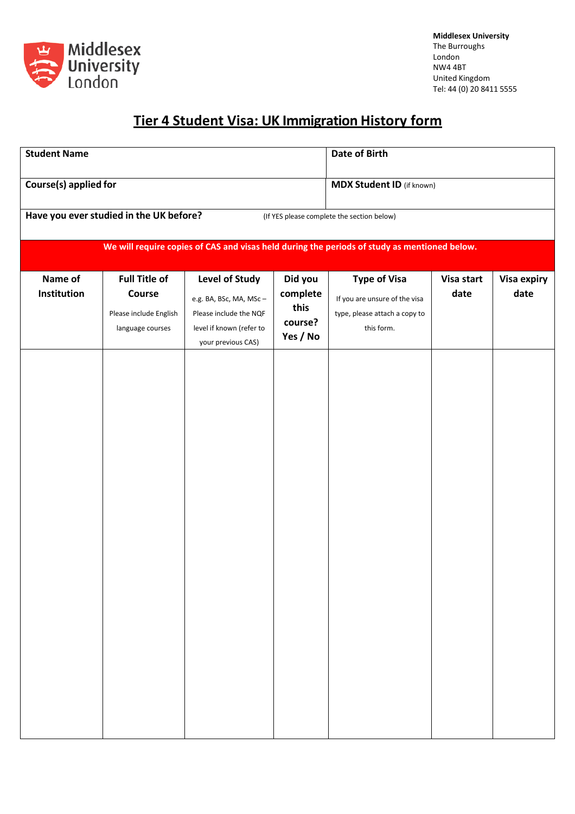

## **Tier 4 Student Visa: UK Immigration History form**

| <b>Student Name</b>                                                                          |                                                          |                                                                           |                                        | <b>Date of Birth</b>                                                                  |                    |                     |
|----------------------------------------------------------------------------------------------|----------------------------------------------------------|---------------------------------------------------------------------------|----------------------------------------|---------------------------------------------------------------------------------------|--------------------|---------------------|
| Course(s) applied for                                                                        |                                                          |                                                                           |                                        | <b>MDX Student ID</b> (if known)                                                      |                    |                     |
| Have you ever studied in the UK before?<br>(If YES please complete the section below)        |                                                          |                                                                           |                                        |                                                                                       |                    |                     |
| We will require copies of CAS and visas held during the periods of study as mentioned below. |                                                          |                                                                           |                                        |                                                                                       |                    |                     |
| Name of<br>Institution                                                                       | <b>Full Title of</b><br>Course<br>Please include English | <b>Level of Study</b><br>e.g. BA, BSc, MA, MSc-<br>Please include the NQF | Did you<br>complete<br>this<br>course? | <b>Type of Visa</b><br>If you are unsure of the visa<br>type, please attach a copy to | Visa start<br>date | Visa expiry<br>date |
|                                                                                              | language courses                                         | level if known (refer to<br>your previous CAS)                            | Yes / No                               | this form.                                                                            |                    |                     |
|                                                                                              |                                                          |                                                                           |                                        |                                                                                       |                    |                     |
|                                                                                              |                                                          |                                                                           |                                        |                                                                                       |                    |                     |
|                                                                                              |                                                          |                                                                           |                                        |                                                                                       |                    |                     |
|                                                                                              |                                                          |                                                                           |                                        |                                                                                       |                    |                     |
|                                                                                              |                                                          |                                                                           |                                        |                                                                                       |                    |                     |
|                                                                                              |                                                          |                                                                           |                                        |                                                                                       |                    |                     |
|                                                                                              |                                                          |                                                                           |                                        |                                                                                       |                    |                     |
|                                                                                              |                                                          |                                                                           |                                        |                                                                                       |                    |                     |